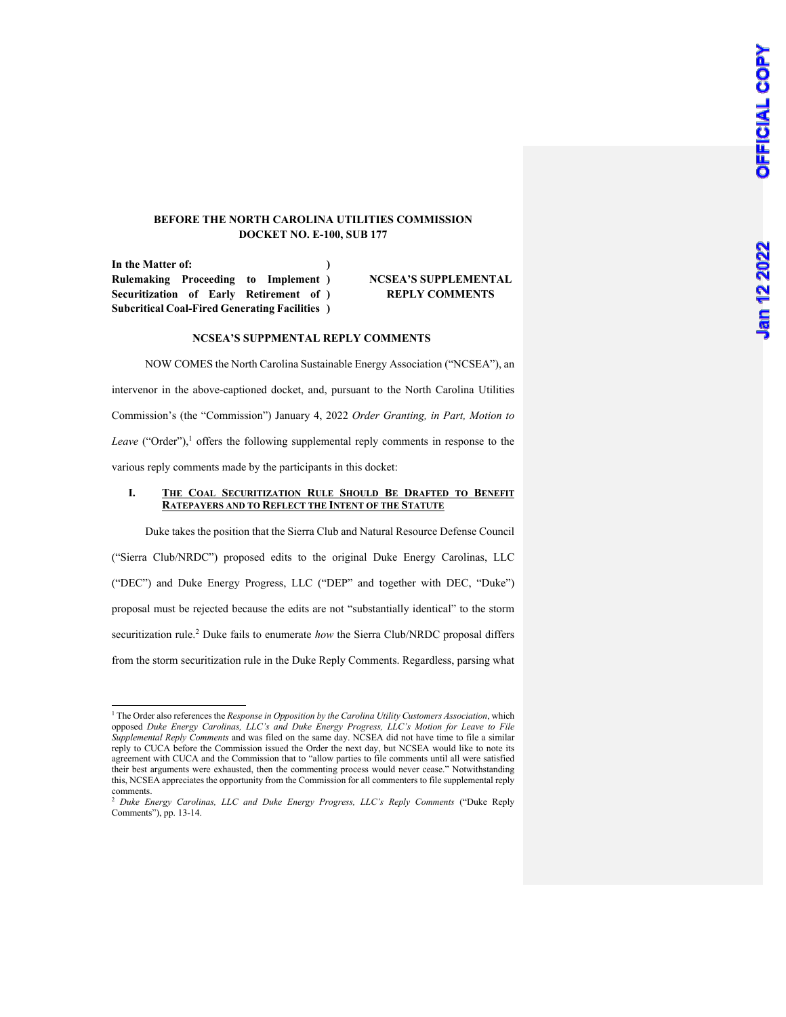### **BEFORE THE NORTH CAROLINA UTILITIES COMMISSION DOCKET NO. E-100, SUB 177**

**In the Matter of: Rulemaking Proceeding to Implement ) Securitization of Early Retirement of ) Subcritical Coal-Fired Generating Facilities ) )**

# **NCSEA'S SUPPLEMENTAL REPLY COMMENTS**

#### **NCSEA'S SUPPMENTAL REPLY COMMENTS**

NOW COMES the North Carolina Sustainable Energy Association ("NCSEA"), an intervenor in the above-captioned docket, and, pursuant to the North Carolina Utilities Commission's (the "Commission") January 4, 2022 *Order Granting, in Part, Motion to*  Leave ("Order"),<sup>1</sup> offers the following supplemental reply comments in response to the various reply comments made by the participants in this docket:

#### **I. THE COAL SECURITIZATION RULE SHOULD BE DRAFTED TO BENEFIT RATEPAYERS AND TO REFLECT THE INTENT OF THE STATUTE**

Duke takes the position that the Sierra Club and Natural Resource Defense Council ("Sierra Club/NRDC") proposed edits to the original Duke Energy Carolinas, LLC ("DEC") and Duke Energy Progress, LLC ("DEP" and together with DEC, "Duke") proposal must be rejected because the edits are not "substantially identical" to the storm securitization rule.<sup>2</sup> Duke fails to enumerate *how* the Sierra Club/NRDC proposal differs from the storm securitization rule in the Duke Reply Comments. Regardless, parsing what

<sup>&</sup>lt;sup>1</sup> The Order also references the *Response in Opposition by the Carolina Utility Customers Association*, which opposed *Duke Energy Carolinas, LLC's and Duke Energy Progress, LLC's Motion for Leave to File Supplemental Reply Comments* and was filed on the same day. NCSEA did not have time to file a similar reply to CUCA before the Commission issued the Order the next day, but NCSEA would like to note its agreement with CUCA and the Commission that to "allow parties to file comments until all were satisfied their best arguments were exhausted, then the commenting process would never cease." Notwithstanding this, NCSEA appreciates the opportunity from the Commission for all commenters to file supplemental reply comments.

<sup>2</sup> *Duke Energy Carolinas, LLC and Duke Energy Progress, LLC's Reply Comments* ("Duke Reply Comments"), pp. 13-14.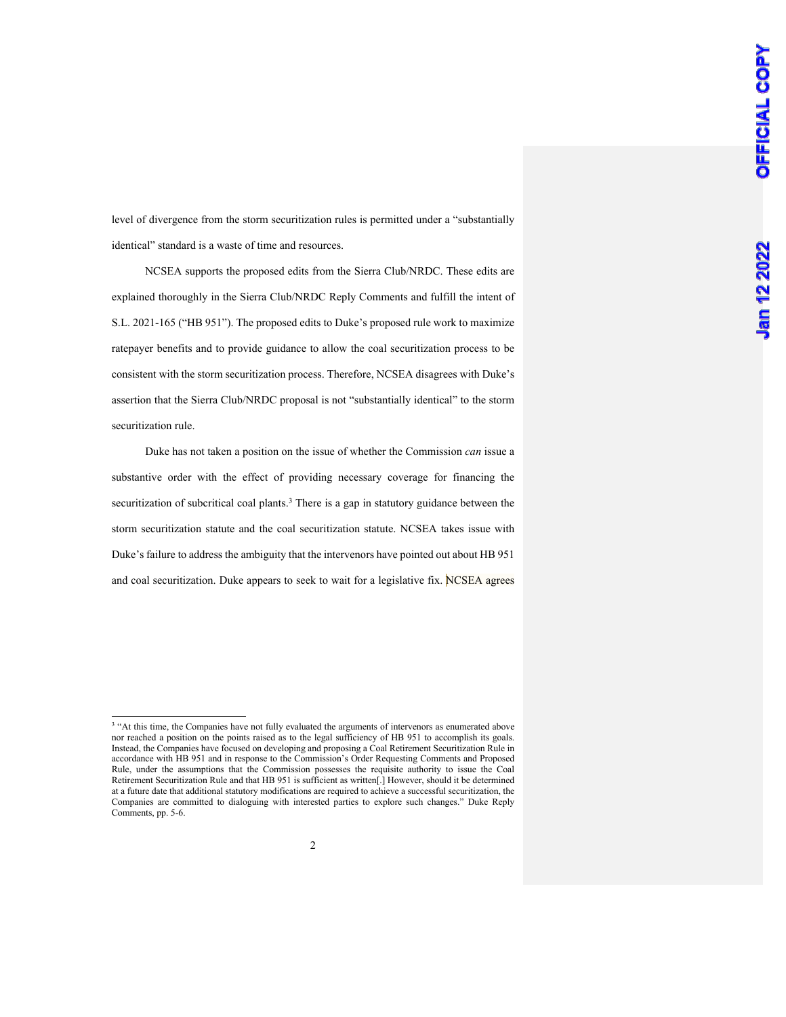level of divergence from the storm securitization rules is permitted under a "substantially identical" standard is a waste of time and resources.

NCSEA supports the proposed edits from the Sierra Club/NRDC. These edits are explained thoroughly in the Sierra Club/NRDC Reply Comments and fulfill the intent of S.L. 2021-165 ("HB 951"). The proposed edits to Duke's proposed rule work to maximize ratepayer benefits and to provide guidance to allow the coal securitization process to be consistent with the storm securitization process. Therefore, NCSEA disagrees with Duke's assertion that the Sierra Club/NRDC proposal is not "substantially identical" to the storm securitization rule.

Duke has not taken a position on the issue of whether the Commission *can* issue a substantive order with the effect of providing necessary coverage for financing the securitization of subcritical coal plants.<sup>3</sup> There is a gap in statutory guidance between the storm securitization statute and the coal securitization statute. NCSEA takes issue with Duke's failure to address the ambiguity that the intervenors have pointed out about HB 951 and coal securitization. Duke appears to seek to wait for a legislative fix. NCSEA agrees

<sup>&</sup>lt;sup>3</sup> "At this time, the Companies have not fully evaluated the arguments of intervenors as enumerated above nor reached a position on the points raised as to the legal sufficiency of HB 951 to accomplish its goals. Instead, the Companies have focused on developing and proposing a Coal Retirement Securitization Rule in accordance with HB 951 and in response to the Commission's Order Requesting Comments and Proposed Rule, under the assumptions that the Commission possesses the requisite authority to issue the Coal Retirement Securitization Rule and that HB 951 is sufficient as written[.] However, should it be determined at a future date that additional statutory modifications are required to achieve a successful securitization, the Companies are committed to dialoguing with interested parties to explore such changes." Duke Reply Comments, pp. 5-6.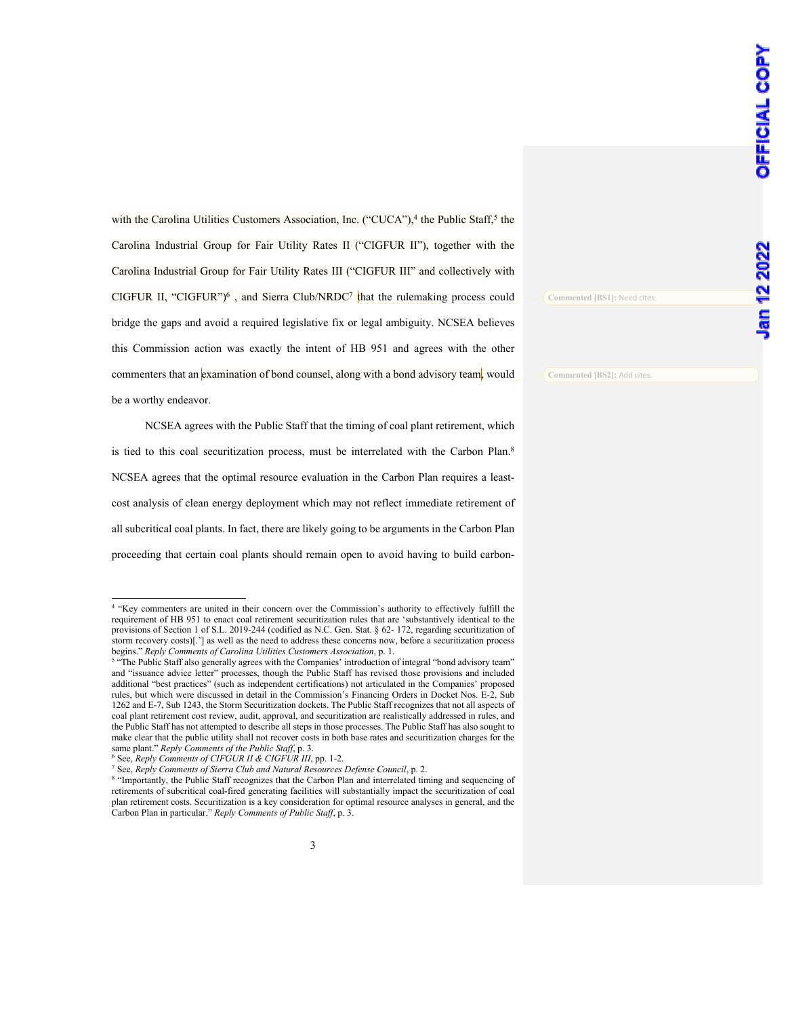with the Carolina Utilities Customers Association, Inc. ("CUCA"),<sup>4</sup> the Public Staff,<sup>5</sup> the Carolina Industrial Group for Fair Utility Rates II ("CIGFUR II"), together with the Carolina Industrial Group for Fair Utility Rates III ("CIGFUR III" and collectively with CIGFUR II, "CIGFUR")<sup>6</sup>, and Sierra Club/NRDC<sup>7</sup> that the rulemaking process could bridge the gaps and avoid a required legislative fix or legal ambiguity. NCSEA believes this Commission action was exactly the intent of HB 951 and agrees with the other commenters that an examination of bond counsel, along with a bond advisory team, would be a worthy endeavor.

NCSEA agrees with the Public Staff that the timing of coal plant retirement, which is tied to this coal securitization process, must be interrelated with the Carbon Plan.<sup>8</sup> NCSEA agrees that the optimal resource evaluation in the Carbon Plan requires a leastcost analysis of clean energy deployment which may not reflect immediate retirement of all subcritical coal plants. In fact, there are likely going to be arguments in the Carbon Plan proceeding that certain coal plants should remain open to avoid having to build carbon**Commented [BS1]:** Need cites.

**Commented [BS2]:** Add cites.

<sup>4</sup> "Key commenters are united in their concern over the Commission's authority to effectively fulfill the requirement of HB 951 to enact coal retirement securitization rules that are 'substantively identical to the provisions of Section 1 of S.L. 2019-244 (codified as N.C. Gen. Stat. § 62- 172, regarding securitization of storm recovery costs)[.'] as well as the need to address these concerns now, before a securitization process begins." *Reply Comments of Carolina Utilities Customers Association*, p. 1.

<sup>&</sup>lt;sup>5</sup> "The Public Staff also generally agrees with the Companies' introduction of integral "bond advisory team" and "issuance advice letter" processes, though the Public Staff has revised those provisions and included additional "best practices" (such as independent certifications) not articulated in the Companies' proposed rules, but which were discussed in detail in the Commission's Financing Orders in Docket Nos. E-2, Sub 1262 and E-7, Sub 1243, the Storm Securitization dockets. The Public Staff recognizes that not all aspects of coal plant retirement cost review, audit, approval, and securitization are realistically addressed in rules, and the Public Staff has not attempted to describe all steps in those processes. The Public Staff has also sought to make clear that the public utility shall not recover costs in both base rates and securitization charges for the same plant." *Reply Comments of the Public Staff*, p. 3.

<sup>6</sup> See, *Reply Comments of CIFGUR II & CIGFUR III*, pp. 1-2.

<sup>7</sup> See, *Reply Comments of Sierra Club and Natural Resources Defense Council*, p. 2.

<sup>8</sup> "Importantly, the Public Staff recognizes that the Carbon Plan and interrelated timing and sequencing of retirements of subcritical coal-fired generating facilities will substantially impact the securitization of coal plan retirement costs. Securitization is a key consideration for optimal resource analyses in general, and the Carbon Plan in particular." *Reply Comments of Public Staff*, p. 3.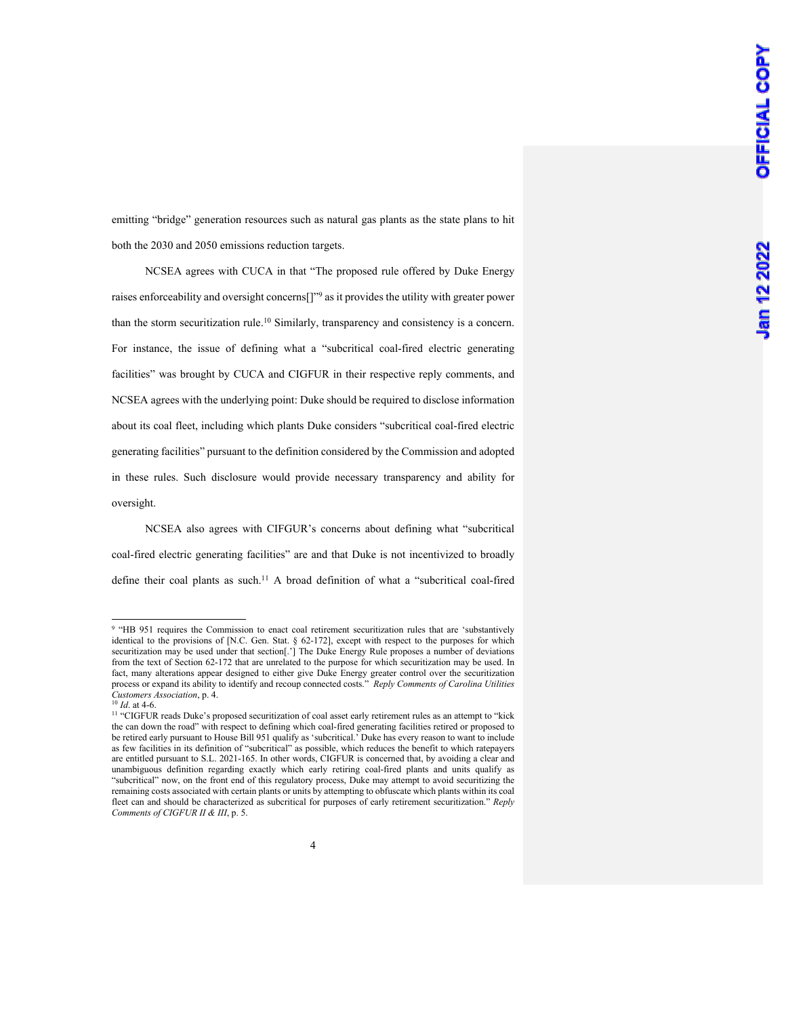emitting "bridge" generation resources such as natural gas plants as the state plans to hit both the 2030 and 2050 emissions reduction targets.

NCSEA agrees with CUCA in that "The proposed rule offered by Duke Energy raises enforceability and oversight concerns[]"9 as it provides the utility with greater power than the storm securitization rule.<sup>10</sup> Similarly, transparency and consistency is a concern. For instance, the issue of defining what a "subcritical coal-fired electric generating facilities" was brought by CUCA and CIGFUR in their respective reply comments, and NCSEA agrees with the underlying point: Duke should be required to disclose information about its coal fleet, including which plants Duke considers "subcritical coal-fired electric generating facilities" pursuant to the definition considered by the Commission and adopted in these rules. Such disclosure would provide necessary transparency and ability for oversight.

NCSEA also agrees with CIFGUR's concerns about defining what "subcritical coal-fired electric generating facilities" are and that Duke is not incentivized to broadly define their coal plants as such.<sup>11</sup> A broad definition of what a "subcritical coal-fired

<sup>&</sup>lt;sup>9</sup> "HB 951 requires the Commission to enact coal retirement securitization rules that are 'substantively identical to the provisions of [N.C. Gen. Stat. § 62-172], except with respect to the purposes for which securitization may be used under that section[.'] The Duke Energy Rule proposes a number of deviations from the text of Section 62-172 that are unrelated to the purpose for which securitization may be used. In fact, many alterations appear designed to either give Duke Energy greater control over the securitization process or expand its ability to identify and recoup connected costs." *Reply Comments of Carolina Utilities Customers Association*, p. 4.

<sup>10</sup> *Id*. at 4-6.

<sup>&</sup>lt;sup>11</sup> "CIGFUR reads Duke's proposed securitization of coal asset early retirement rules as an attempt to "kick the can down the road" with respect to defining which coal-fired generating facilities retired or proposed to be retired early pursuant to House Bill 951 qualify as 'subcritical.' Duke has every reason to want to include as few facilities in its definition of "subcritical" as possible, which reduces the benefit to which ratepayers are entitled pursuant to S.L. 2021-165. In other words, CIGFUR is concerned that, by avoiding a clear and unambiguous definition regarding exactly which early retiring coal-fired plants and units qualify as "subcritical" now, on the front end of this regulatory process, Duke may attempt to avoid securitizing the remaining costs associated with certain plants or units by attempting to obfuscate which plants within its coal fleet can and should be characterized as subcritical for purposes of early retirement securitization." *Reply Comments of CIGFUR II & III*, p. 5.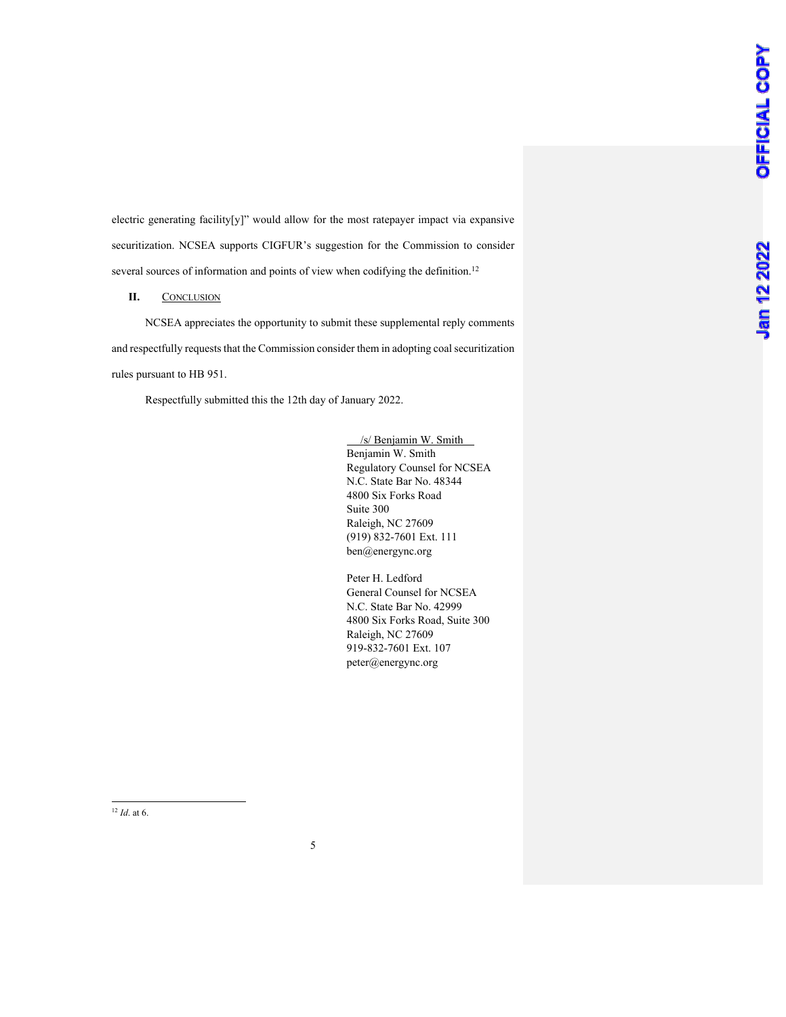electric generating facility[y]" would allow for the most ratepayer impact via expansive securitization. NCSEA supports CIGFUR's suggestion for the Commission to consider several sources of information and points of view when codifying the definition.<sup>12</sup>

## **II.** CONCLUSION

NCSEA appreciates the opportunity to submit these supplemental reply comments and respectfully requests that the Commission consider them in adopting coal securitization rules pursuant to HB 951.

Respectfully submitted this the 12th day of January 2022.

 /s/ Benjamin W. Smith Benjamin W. Smith Regulatory Counsel for NCSEA N.C. State Bar No. 48344 4800 Six Forks Road Suite 300 Raleigh, NC 27609 (919) 832-7601 Ext. 111 ben@energync.org

Peter H. Ledford General Counsel for NCSEA N.C. State Bar No. 42999 4800 Six Forks Road, Suite 300 Raleigh, NC 27609 919-832-7601 Ext. 107 peter@energync.org

<sup>12</sup> *Id*. at 6.